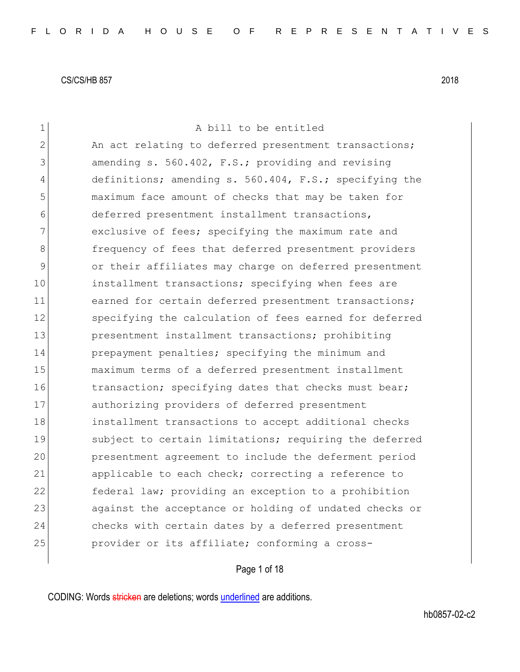| $\mathbf 1$    | A bill to be entitled                                  |
|----------------|--------------------------------------------------------|
| $\overline{2}$ | An act relating to deferred presentment transactions;  |
| 3              | amending s. 560.402, F.S.; providing and revising      |
| 4              | definitions; amending s. 560.404, F.S.; specifying the |
| 5              | maximum face amount of checks that may be taken for    |
| 6              | deferred presentment installment transactions,         |
| 7              | exclusive of fees; specifying the maximum rate and     |
| 8              | frequency of fees that deferred presentment providers  |
| 9              | or their affiliates may charge on deferred presentment |
| 10             | installment transactions; specifying when fees are     |
| 11             | earned for certain deferred presentment transactions;  |
| 12             | specifying the calculation of fees earned for deferred |
| 13             | presentment installment transactions; prohibiting      |
| 14             | prepayment penalties; specifying the minimum and       |
| 15             | maximum terms of a deferred presentment installment    |
| 16             | transaction; specifying dates that checks must bear;   |
| 17             | authorizing providers of deferred presentment          |
| 18             | installment transactions to accept additional checks   |
| 19             | subject to certain limitations; requiring the deferred |
| 20             | presentment agreement to include the deferment period  |
| 21             | applicable to each check; correcting a reference to    |
| 22             | federal law; providing an exception to a prohibition   |
| 23             | against the acceptance or holding of undated checks or |
| 24             | checks with certain dates by a deferred presentment    |
| 25             | provider or its affiliate; conforming a cross-         |
|                |                                                        |

Page 1 of 18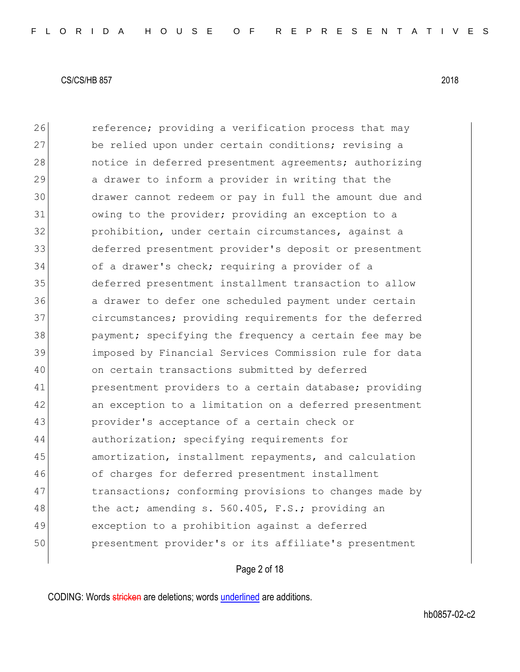**reference;** providing a verification process that may 27 be relied upon under certain conditions; revising a **notice in deferred presentment agreements; authorizing** 29 a drawer to inform a provider in writing that the drawer cannot redeem or pay in full the amount due and 31 owing to the provider; providing an exception to a prohibition, under certain circumstances, against a deferred presentment provider's deposit or presentment of a drawer's check; requiring a provider of a deferred presentment installment transaction to allow a drawer to defer one scheduled payment under certain 37 circumstances; providing requirements for the deferred 38 payment; specifying the frequency a certain fee may be imposed by Financial Services Commission rule for data on certain transactions submitted by deferred **presentment providers to a certain database; providing**  an exception to a limitation on a deferred presentment 43 provider's acceptance of a certain check or authorization; specifying requirements for 45 amortization, installment repayments, and calculation of charges for deferred presentment installment 47 The transactions; conforming provisions to changes made by 48 the act; amending s. 560.405, F.S.; providing an exception to a prohibition against a deferred presentment provider's or its affiliate's presentment

Page 2 of 18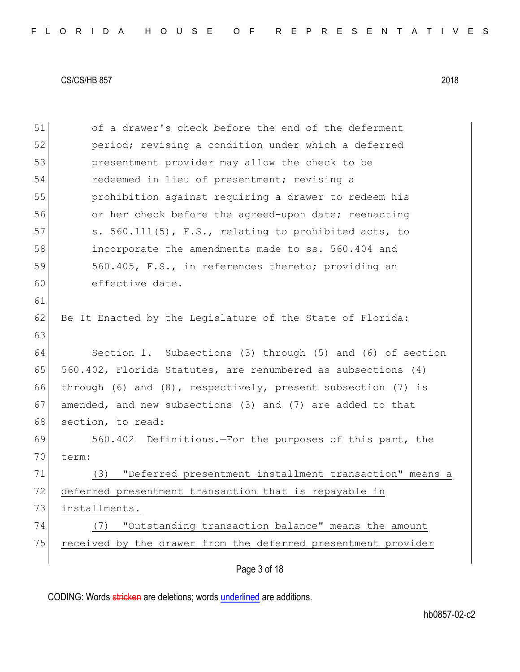Page 3 of 18 51 of a drawer's check before the end of the deferment 52 period; revising a condition under which a deferred 53 presentment provider may allow the check to be 54 redeemed in lieu of presentment; revising a 55 prohibition against requiring a drawer to redeem his 56 or her check before the agreed-upon date; reenacting 57 s. 560.111(5), F.S., relating to prohibited acts, to 58 incorporate the amendments made to ss. 560.404 and 59 560.405, F.S., in references thereto; providing an 60 effective date. 61 62 Be It Enacted by the Legislature of the State of Florida: 63 64 Section 1. Subsections (3) through (5) and (6) of section 65  $560.402$ , Florida Statutes, are renumbered as subsections (4) 66 through (6) and (8), respectively, present subsection (7) is 67 amended, and new subsections (3) and (7) are added to that 68 section, to read: 69 560.402 Definitions.—For the purposes of this part, the 70 term: 71 (3) "Deferred presentment installment transaction" means a 72 deferred presentment transaction that is repayable in 73 installments. 74 (7) "Outstanding transaction balance" means the amount 75 received by the drawer from the deferred presentment provider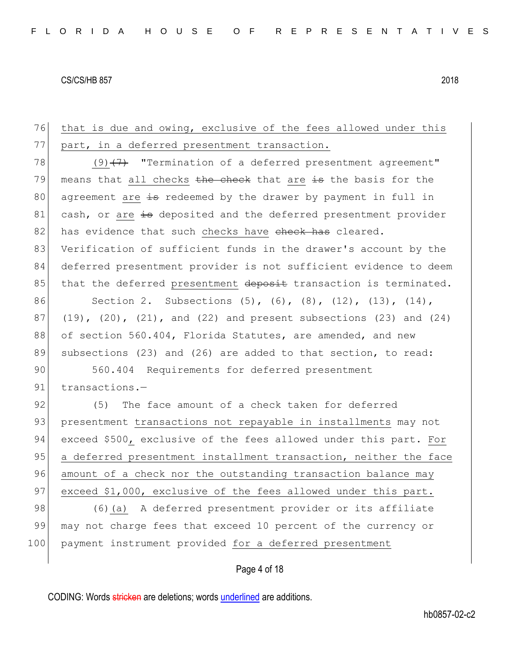76 that is due and owing, exclusive of the fees allowed under this 77 part, in a deferred presentment transaction. 78 (9) $\left(47\right)$  "Termination of a deferred presentment agreement" 79 means that all checks  $t$  the check that are is the basis for the 80 agreement are is redeemed by the drawer by payment in full in 81 cash, or are is deposited and the deferred presentment provider 82 has evidence that such checks have check has cleared. 83 Verification of sufficient funds in the drawer's account by the 84 deferred presentment provider is not sufficient evidence to deem 85 that the deferred presentment deposit transaction is terminated. 86 Section 2. Subsections (5), (6), (8), (12), (13), (14),  $87$  (19), (20), (21), and (22) and present subsections (23) and (24) 88 of section 560.404, Florida Statutes, are amended, and new 89 subsections (23) and (26) are added to that section, to read: 90 560.404 Requirements for deferred presentment 91 transactions.-92 (5) The face amount of a check taken for deferred 93 presentment transactions not repayable in installments may not 94 exceed \$500, exclusive of the fees allowed under this part. For 95 a deferred presentment installment transaction, neither the face 96 amount of a check nor the outstanding transaction balance may 97 exceed \$1,000, exclusive of the fees allowed under this part. 98 (6)(a) A deferred presentment provider or its affiliate 99 may not charge fees that exceed 10 percent of the currency or 100 payment instrument provided for a deferred presentment

Page 4 of 18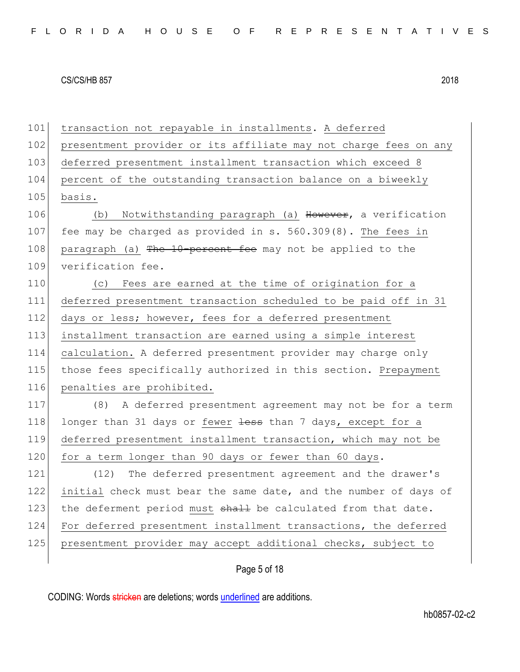101 transaction not repayable in installments. A deferred 102 presentment provider or its affiliate may not charge fees on any 103 deferred presentment installment transaction which exceed 8 104 percent of the outstanding transaction balance on a biweekly 105 basis. 106 (b) Notwithstanding paragraph (a) However, a verification 107 fee may be charged as provided in s. 560.309(8). The fees in 108 paragraph (a) The 10-percent fee may not be applied to the 109 verification fee. 110 (c) Fees are earned at the time of origination for a 111 deferred presentment transaction scheduled to be paid off in 31 112 days or less; however, fees for a deferred presentment 113 installment transaction are earned using a simple interest 114 calculation. A deferred presentment provider may charge only 115 those fees specifically authorized in this section. Prepayment 116 penalties are prohibited. 117 (8) A deferred presentment agreement may not be for a term 118 longer than 31 days or fewer less than 7 days, except for a 119 deferred presentment installment transaction, which may not be 120 for a term longer than 90 days or fewer than 60 days. 121 (12) The deferred presentment agreement and the drawer's 122 initial check must bear the same date, and the number of days of 123 the deferment period must shall be calculated from that date. 124 For deferred presentment installment transactions, the deferred 125 presentment provider may accept additional checks, subject to

Page 5 of 18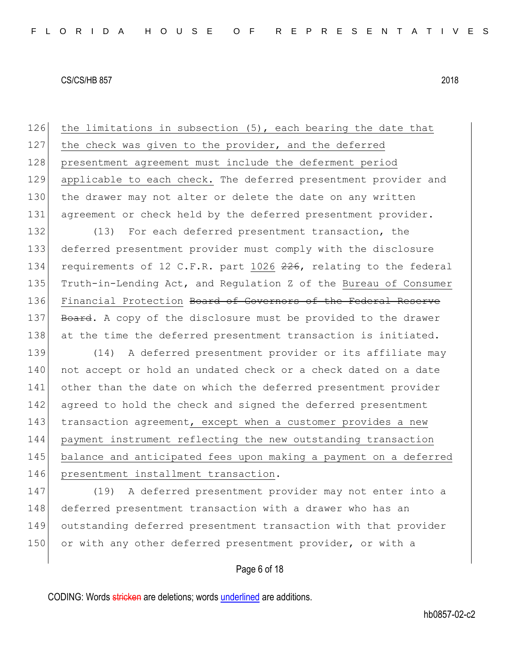126 the limitations in subsection  $(5)$ , each bearing the date that 127 the check was given to the provider, and the deferred 128 presentment agreement must include the deferment period 129 applicable to each check. The deferred presentment provider and 130 the drawer may not alter or delete the date on any written 131 agreement or check held by the deferred presentment provider.

132 (13) For each deferred presentment transaction, the 133 deferred presentment provider must comply with the disclosure 134 requirements of 12 C.F.R. part 1026 226, relating to the federal 135 Truth-in-Lending Act, and Regulation Z of the Bureau of Consumer 136 Financial Protection <del>Board of Governors of the Federal Reserve</del> 137 Board. A copy of the disclosure must be provided to the drawer 138 at the time the deferred presentment transaction is initiated.

 (14) A deferred presentment provider or its affiliate may 140 not accept or hold an undated check or a check dated on a date other than the date on which the deferred presentment provider 142 agreed to hold the check and signed the deferred presentment transaction agreement, except when a customer provides a new payment instrument reflecting the new outstanding transaction balance and anticipated fees upon making a payment on a deferred 146 presentment installment transaction.

147 (19) A deferred presentment provider may not enter into a 148 deferred presentment transaction with a drawer who has an 149 outstanding deferred presentment transaction with that provider 150 or with any other deferred presentment provider, or with a

Page 6 of 18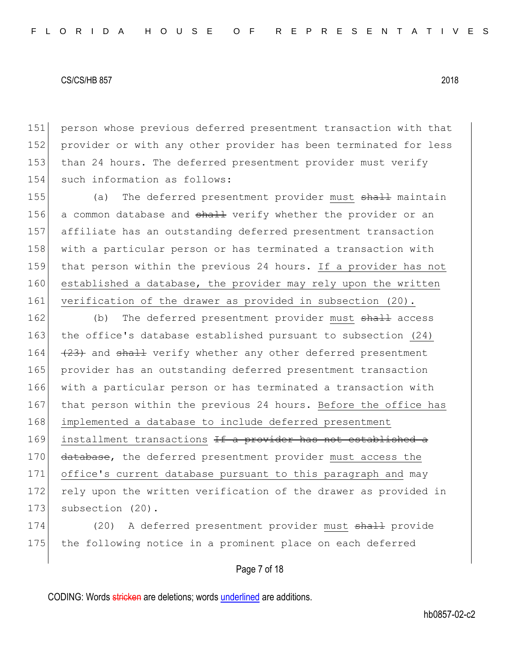person whose previous deferred presentment transaction with that provider or with any other provider has been terminated for less than 24 hours. The deferred presentment provider must verify 154 such information as follows:

155 (a) The deferred presentment provider must shall maintain 156 a common database and shall verify whether the provider or an 157 affiliate has an outstanding deferred presentment transaction 158 with a particular person or has terminated a transaction with 159 that person within the previous 24 hours. If a provider has not 160 established a database, the provider may rely upon the written 161 verification of the drawer as provided in subsection (20).

162 (b) The deferred presentment provider must shall access 163 the office's database established pursuant to subsection (24) 164  $(23)$  and shall verify whether any other deferred presentment 165 provider has an outstanding deferred presentment transaction 166 with a particular person or has terminated a transaction with 167 that person within the previous 24 hours. Before the office has 168 implemented a database to include deferred presentment 169 installment transactions If a provider has not established a 170 database, the deferred presentment provider must access the 171 office's current database pursuant to this paragraph and may 172 rely upon the written verification of the drawer as provided in 173 subsection (20).

174 (20) A deferred presentment provider must shall provide 175 the following notice in a prominent place on each deferred

# Page 7 of 18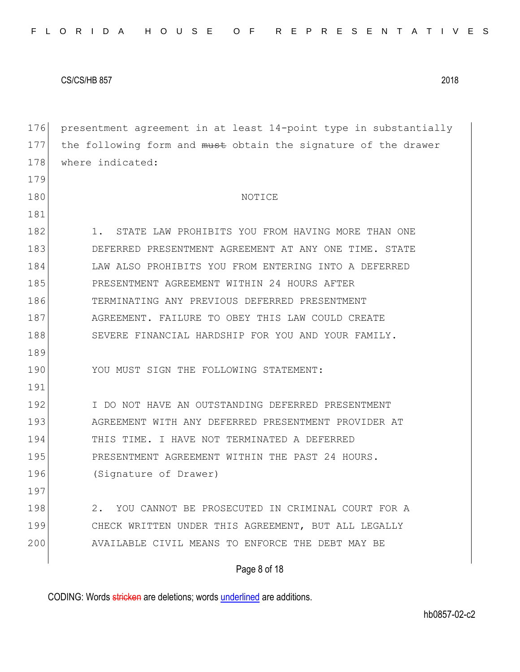179

181

176 presentment agreement in at least 14-point type in substantially 177 the following form and must obtain the signature of the drawer 178 where indicated:

#### 180 NOTICE

Page 8 of 18 182 1. STATE LAW PROHIBITS YOU FROM HAVING MORE THAN ONE 183 DEFERRED PRESENTMENT AGREEMENT AT ANY ONE TIME. STATE 184 LAW ALSO PROHIBITS YOU FROM ENTERING INTO A DEFERRED 185 PRESENTMENT AGREEMENT WITHIN 24 HOURS AFTER 186 TERMINATING ANY PREVIOUS DEFERRED PRESENTMENT 187 AGREEMENT. FAILURE TO OBEY THIS LAW COULD CREATE 188 SEVERE FINANCIAL HARDSHIP FOR YOU AND YOUR FAMILY. 189 190 YOU MUST SIGN THE FOLLOWING STATEMENT: 191 192 I DO NOT HAVE AN OUTSTANDING DEFERRED PRESENTMENT 193 AGREEMENT WITH ANY DEFERRED PRESENTMENT PROVIDER AT 194 THIS TIME. I HAVE NOT TERMINATED A DEFERRED 195 PRESENTMENT AGREEMENT WITHIN THE PAST 24 HOURS. 196 (Signature of Drawer) 197 198 2. YOU CANNOT BE PROSECUTED IN CRIMINAL COURT FOR A 199 CHECK WRITTEN UNDER THIS AGREEMENT, BUT ALL LEGALLY 200 AVAILABLE CIVIL MEANS TO ENFORCE THE DEBT MAY BE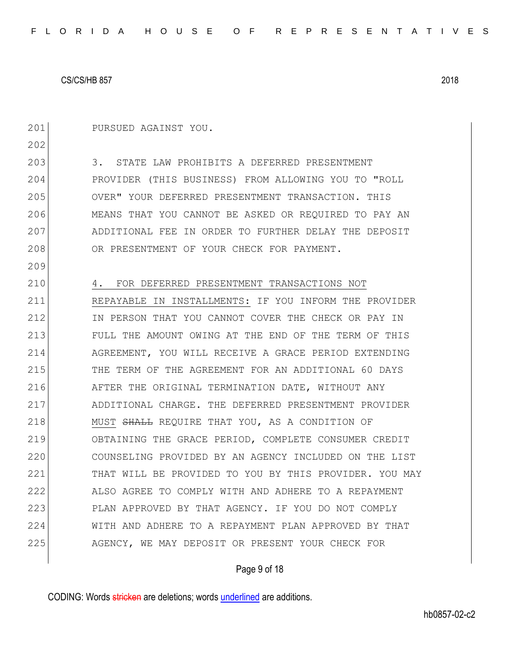201 PURSUED AGAINST YOU.

202 203 3. STATE LAW PROHIBITS A DEFERRED PRESENTMENT 204 PROVIDER (THIS BUSINESS) FROM ALLOWING YOU TO "ROLL 205 OVER" YOUR DEFERRED PRESENTMENT TRANSACTION. THIS 206 MEANS THAT YOU CANNOT BE ASKED OR REQUIRED TO PAY AN 207 ADDITIONAL FEE IN ORDER TO FURTHER DELAY THE DEPOSIT 208 OR PRESENTMENT OF YOUR CHECK FOR PAYMENT. 209 210 4. FOR DEFERRED PRESENTMENT TRANSACTIONS NOT 211 REPAYABLE IN INSTALLMENTS: IF YOU INFORM THE PROVIDER 212 IN PERSON THAT YOU CANNOT COVER THE CHECK OR PAY IN 213 FULL THE AMOUNT OWING AT THE END OF THE TERM OF THIS 214 AGREEMENT, YOU WILL RECEIVE A GRACE PERIOD EXTENDING 215 THE TERM OF THE AGREEMENT FOR AN ADDITIONAL 60 DAYS 216 **AFTER THE ORIGINAL TERMINATION DATE, WITHOUT ANY** 217 ADDITIONAL CHARGE. THE DEFERRED PRESENTMENT PROVIDER 218 MUST SHALL REQUIRE THAT YOU, AS A CONDITION OF 219 OBTAINING THE GRACE PERIOD, COMPLETE CONSUMER CREDIT 220 COUNSELING PROVIDED BY AN AGENCY INCLUDED ON THE LIST 221 THAT WILL BE PROVIDED TO YOU BY THIS PROVIDER. YOU MAY 222 ALSO AGREE TO COMPLY WITH AND ADHERE TO A REPAYMENT 223 PLAN APPROVED BY THAT AGENCY. IF YOU DO NOT COMPLY 224 WITH AND ADHERE TO A REPAYMENT PLAN APPROVED BY THAT 225 AGENCY, WE MAY DEPOSIT OR PRESENT YOUR CHECK FOR

# Page 9 of 18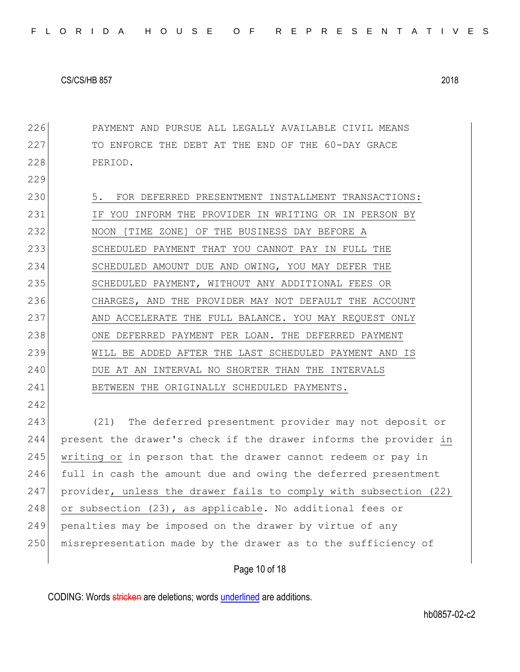Page 10 of 18 226 PAYMENT AND PURSUE ALL LEGALLY AVAILABLE CIVIL MEANS 227 TO ENFORCE THE DEBT AT THE END OF THE 60-DAY GRACE 228 PERIOD. 229 230 5. FOR DEFERRED PRESENTMENT INSTALLMENT TRANSACTIONS: 231 IF YOU INFORM THE PROVIDER IN WRITING OR IN PERSON BY 232 NOON [TIME ZONE] OF THE BUSINESS DAY BEFORE A 233 SCHEDULED PAYMENT THAT YOU CANNOT PAY IN FULL THE 234 SCHEDULED AMOUNT DUE AND OWING, YOU MAY DEFER THE 235 SCHEDULED PAYMENT, WITHOUT ANY ADDITIONAL FEES OR 236 CHARGES, AND THE PROVIDER MAY NOT DEFAULT THE ACCOUNT 237 AND ACCELERATE THE FULL BALANCE. YOU MAY REQUEST ONLY 238 ONE DEFERRED PAYMENT PER LOAN. THE DEFERRED PAYMENT 239 WILL BE ADDED AFTER THE LAST SCHEDULED PAYMENT AND IS 240 DUE AT AN INTERVAL NO SHORTER THAN THE INTERVALS 241 BETWEEN THE ORIGINALLY SCHEDULED PAYMENTS. 242 243 (21) The deferred presentment provider may not deposit or 244 present the drawer's check if the drawer informs the provider in 245 writing or in person that the drawer cannot redeem or pay in 246 full in cash the amount due and owing the deferred presentment 247 provider, unless the drawer fails to comply with subsection (22) 248 or subsection (23), as applicable. No additional fees or 249 penalties may be imposed on the drawer by virtue of any 250 misrepresentation made by the drawer as to the sufficiency of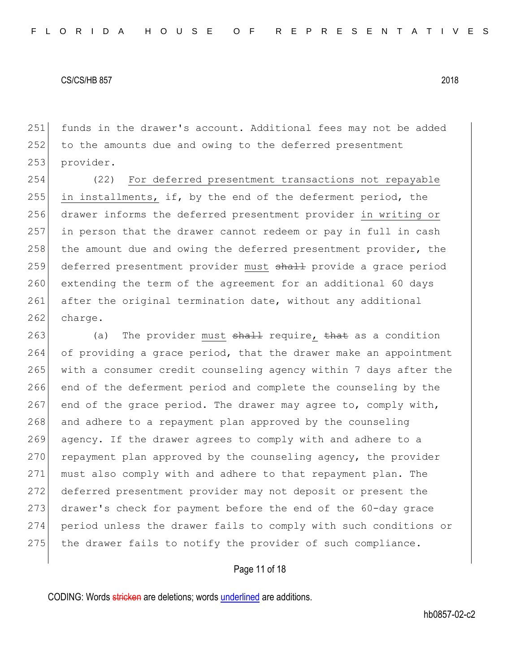251 funds in the drawer's account. Additional fees may not be added 252 to the amounts due and owing to the deferred presentment 253 provider.

 (22) For deferred presentment transactions not repayable in installments, if, by the end of the deferment period, the drawer informs the deferred presentment provider in writing or in person that the drawer cannot redeem or pay in full in cash the amount due and owing the deferred presentment provider, the 259 deferred presentment provider must shall provide a grace period extending the term of the agreement for an additional 60 days 261 after the original termination date, without any additional 262 charge.

263 (a) The provider must  $shall$  require, that as a condition 264 of providing a grace period, that the drawer make an appointment 265 with a consumer credit counseling agency within 7 days after the 266 end of the deferment period and complete the counseling by the 267 end of the grace period. The drawer may agree to, comply with, 268 and adhere to a repayment plan approved by the counseling 269 agency. If the drawer agrees to comply with and adhere to a  $270$  repayment plan approved by the counseling agency, the provider 271 must also comply with and adhere to that repayment plan. The 272 deferred presentment provider may not deposit or present the 273 drawer's check for payment before the end of the 60-day grace 274 period unless the drawer fails to comply with such conditions or 275 the drawer fails to notify the provider of such compliance.

# Page 11 of 18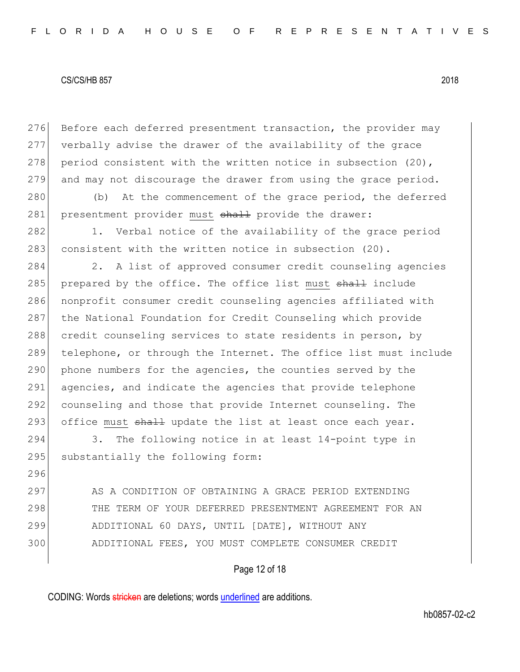296

276 Before each deferred presentment transaction, the provider may 277 verbally advise the drawer of the availability of the grace 278 period consistent with the written notice in subsection  $(20)$ , 279 and may not discourage the drawer from using the grace period.

280 (b) At the commencement of the grace period, the deferred 281 presentment provider must shall provide the drawer:

282 1. Verbal notice of the availability of the grace period 283 consistent with the written notice in subsection (20).

284 2. A list of approved consumer credit counseling agencies 285 prepared by the office. The office list must shall include 286 nonprofit consumer credit counseling agencies affiliated with 287 the National Foundation for Credit Counseling which provide 288 credit counseling services to state residents in person, by 289 telephone, or through the Internet. The office list must include 290 phone numbers for the agencies, the counties served by the 291 agencies, and indicate the agencies that provide telephone 292 counseling and those that provide Internet counseling. The 293 office must  $\frac{1}{2}$  update the list at least once each year.

294 3. The following notice in at least 14-point type in 295 substantially the following form:

297 AS A CONDITION OF OBTAINING A GRACE PERIOD EXTENDING 298 THE TERM OF YOUR DEFERRED PRESENTMENT AGREEMENT FOR AN 299 ADDITIONAL 60 DAYS, UNTIL [DATE], WITHOUT ANY 300 ADDITIONAL FEES, YOU MUST COMPLETE CONSUMER CREDIT

# Page 12 of 18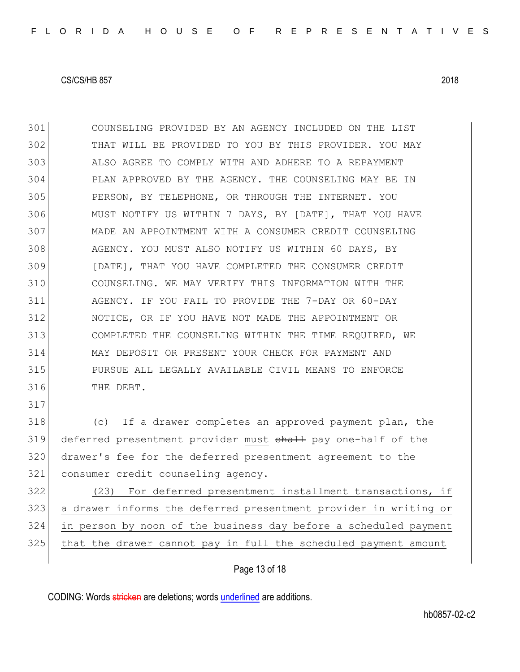COUNSELING PROVIDED BY AN AGENCY INCLUDED ON THE LIST THAT WILL BE PROVIDED TO YOU BY THIS PROVIDER. YOU MAY ALSO AGREE TO COMPLY WITH AND ADHERE TO A REPAYMENT PLAN APPROVED BY THE AGENCY. THE COUNSELING MAY BE IN PERSON, BY TELEPHONE, OR THROUGH THE INTERNET. YOU MUST NOTIFY US WITHIN 7 DAYS, BY [DATE], THAT YOU HAVE MADE AN APPOINTMENT WITH A CONSUMER CREDIT COUNSELING 308 AGENCY. YOU MUST ALSO NOTIFY US WITHIN 60 DAYS, BY [DATE], THAT YOU HAVE COMPLETED THE CONSUMER CREDIT COUNSELING. WE MAY VERIFY THIS INFORMATION WITH THE AGENCY. IF YOU FAIL TO PROVIDE THE 7-DAY OR 60-DAY NOTICE, OR IF YOU HAVE NOT MADE THE APPOINTMENT OR COMPLETED THE COUNSELING WITHIN THE TIME REQUIRED, WE MAY DEPOSIT OR PRESENT YOUR CHECK FOR PAYMENT AND PURSUE ALL LEGALLY AVAILABLE CIVIL MEANS TO ENFORCE THE DEBT. (c) If a drawer completes an approved payment plan, the 319 deferred presentment provider must shall pay one-half of the drawer's fee for the deferred presentment agreement to the 321 consumer credit counseling agency.

322 (23) For deferred presentment installment transactions, if a drawer informs the deferred presentment provider in writing or in person by noon of the business day before a scheduled payment that the drawer cannot pay in full the scheduled payment amount

# Page 13 of 18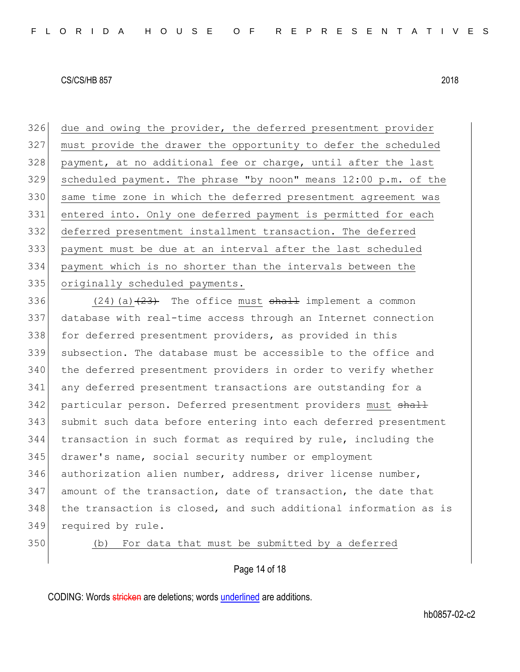due and owing the provider, the deferred presentment provider must provide the drawer the opportunity to defer the scheduled 328 payment, at no additional fee or charge, until after the last scheduled payment. The phrase "by noon" means 12:00 p.m. of the same time zone in which the deferred presentment agreement was entered into. Only one deferred payment is permitted for each deferred presentment installment transaction. The deferred payment must be due at an interval after the last scheduled payment which is no shorter than the intervals between the 335 originally scheduled payments.

336 (24)(a) $(24)$  The office must  $shall$  implement a common 337 database with real-time access through an Internet connection 338 for deferred presentment providers, as provided in this 339 subsection. The database must be accessible to the office and 340 the deferred presentment providers in order to verify whether 341 any deferred presentment transactions are outstanding for a 342 particular person. Deferred presentment providers must shall 343 submit such data before entering into each deferred presentment 344 transaction in such format as required by rule, including the 345 drawer's name, social security number or employment 346 authorization alien number, address, driver license number, 347 amount of the transaction, date of transaction, the date that 348 the transaction is closed, and such additional information as is 349 required by rule.

350 (b) For data that must be submitted by a deferred

# Page 14 of 18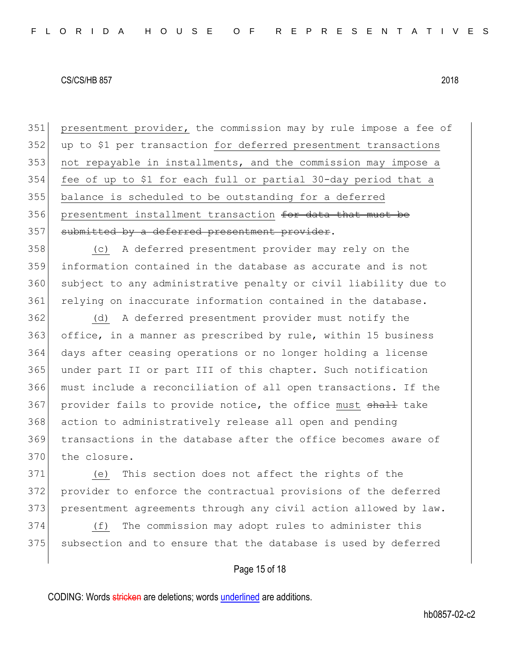presentment provider, the commission may by rule impose a fee of up to \$1 per transaction for deferred presentment transactions not repayable in installments, and the commission may impose a fee of up to \$1 for each full or partial 30-day period that a balance is scheduled to be outstanding for a deferred 356 presentment installment transaction for data that must be 357 submitted by a deferred presentment provider.

 (c) A deferred presentment provider may rely on the information contained in the database as accurate and is not subject to any administrative penalty or civil liability due to 361 relying on inaccurate information contained in the database.

 (d) A deferred presentment provider must notify the office, in a manner as prescribed by rule, within 15 business days after ceasing operations or no longer holding a license under part II or part III of this chapter. Such notification must include a reconciliation of all open transactions. If the 367 provider fails to provide notice, the office must shall take action to administratively release all open and pending 369 transactions in the database after the office becomes aware of 370 the closure.

371 (e) This section does not affect the rights of the 372 provider to enforce the contractual provisions of the deferred 373 presentment agreements through any civil action allowed by law.

374 (f) The commission may adopt rules to administer this 375 subsection and to ensure that the database is used by deferred

# Page 15 of 18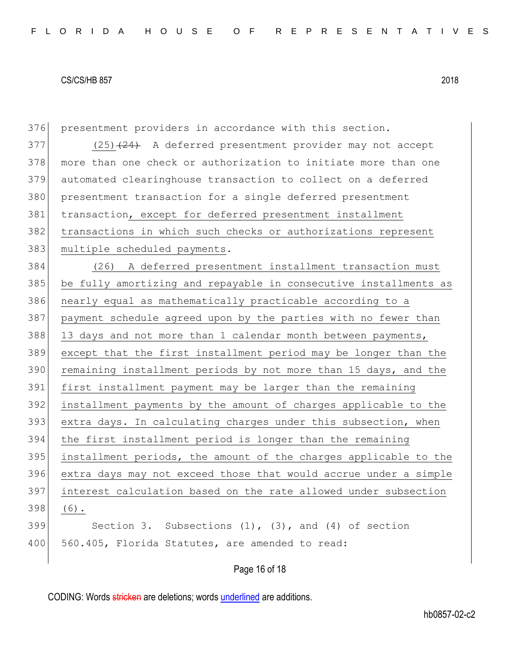| 376 | presentment providers in accordance with this section.           |
|-----|------------------------------------------------------------------|
| 377 | $(25)$ $(24)$ A deferred presentment provider may not accept     |
| 378 | more than one check or authorization to initiate more than one   |
| 379 | automated clearinghouse transaction to collect on a deferred     |
| 380 | presentment transaction for a single deferred presentment        |
| 381 | transaction, except for deferred presentment installment         |
| 382 | transactions in which such checks or authorizations represent    |
| 383 | multiple scheduled payments.                                     |
| 384 | (26) A deferred presentment installment transaction must         |
| 385 | be fully amortizing and repayable in consecutive installments as |
| 386 | nearly equal as mathematically practicable according to a        |
| 387 | payment schedule agreed upon by the parties with no fewer than   |
| 388 | 13 days and not more than 1 calendar month between payments,     |
| 389 | except that the first installment period may be longer than the  |
| 390 | remaining installment periods by not more than 15 days, and the  |
| 391 | first installment payment may be larger than the remaining       |
| 392 | installment payments by the amount of charges applicable to the  |
| 393 | extra days. In calculating charges under this subsection, when   |
| 394 | the first installment period is longer than the remaining        |
| 395 | installment periods, the amount of the charges applicable to the |
| 396 | extra days may not exceed those that would accrue under a simple |
| 397 | interest calculation based on the rate allowed under subsection  |
| 398 | $(6)$ .                                                          |
| 399 | Section 3. Subsections $(1)$ , $(3)$ , and $(4)$ of section      |
| 400 | 560.405, Florida Statutes, are amended to read:                  |
|     |                                                                  |

# Page 16 of 18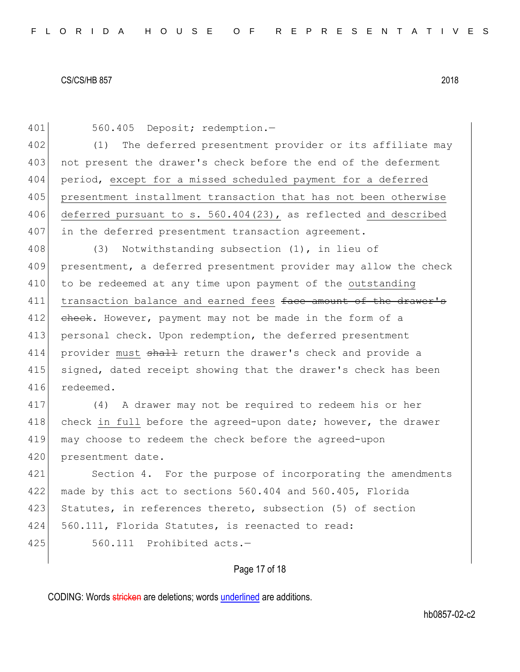401 560.405 Deposit; redemption.-402 (1) The deferred presentment provider or its affiliate may 403 not present the drawer's check before the end of the deferment 404 period, except for a missed scheduled payment for a deferred 405 presentment installment transaction that has not been otherwise 406 deferred pursuant to s. 560.404(23), as reflected and described 407 in the deferred presentment transaction agreement. 408 (3) Notwithstanding subsection (1), in lieu of 409 presentment, a deferred presentment provider may allow the check 410 to be redeemed at any time upon payment of the outstanding 411 transaction balance and earned fees face amount of the drawer's 412 check. However, payment may not be made in the form of a 413 personal check. Upon redemption, the deferred presentment 414 provider must shall return the drawer's check and provide a 415 signed, dated receipt showing that the drawer's check has been 416 redeemed. 417 (4) A drawer may not be required to redeem his or her 418 check in full before the agreed-upon date; however, the drawer 419 may choose to redeem the check before the agreed-upon 420 presentment date. 421 Section 4. For the purpose of incorporating the amendments 422 made by this act to sections 560.404 and 560.405, Florida 423 Statutes, in references thereto, subsection (5) of section 424 560.111, Florida Statutes, is reenacted to read:  $425$   $560.111$  Prohibited acts. $-$ 

# Page 17 of 18